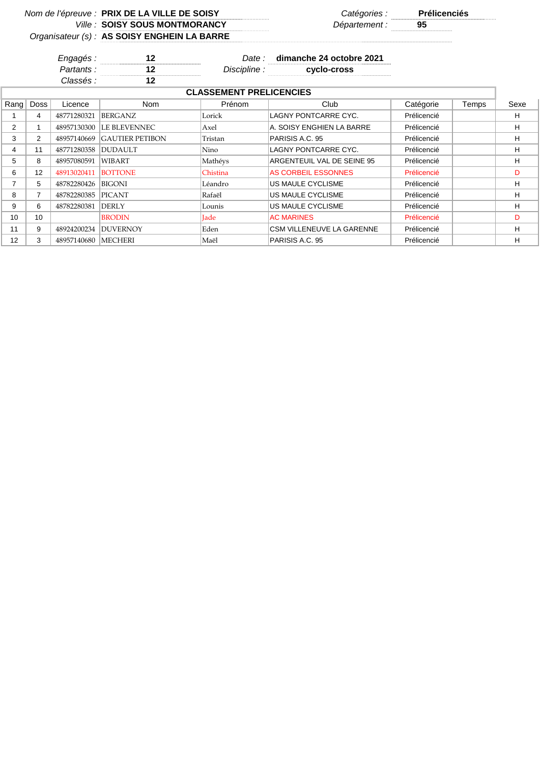*Nom de l'épreuve : PRIX DE LA VILLE DE SOISY* 

*Ville : Département :* **95 SOISY SOUS MONTMORANCY Prélicenciés**<br>
Département : 25

 $\overline{\phantom{a}}$ 

## *Organisateur (s) :* **AS SOISY ENGHEIN LA BARRE**

*Engagés :* **12** *Date :* **dimanche 24 octobre 2021** *Partants :* **12** *Discipline :* **cyclo-cross** *Classés :* **12 Grille : 12 Grille : 12 Grille : 12 Grille : 12 Grille : 12 Grille : 12 Grille : 12 Grille : 12 Grille : 12 Grille : 12 Grille : 12 Grille : 12 Grille : 12 Grille : 12 Grille :** 

| <b>CLASSEMENT PRELICENCIES</b> |                                                                            |             |                        |             |                                  |             |  |   |
|--------------------------------|----------------------------------------------------------------------------|-------------|------------------------|-------------|----------------------------------|-------------|--|---|
|                                | Rang Doss<br><b>Nom</b><br>Prénom<br>Club<br>Catégorie<br>Temps<br>Licence |             |                        |             |                                  |             |  |   |
|                                | 4                                                                          | 48771280321 | <b>BERGANZ</b>         | Lorick      | LAGNY PONTCARRE CYC.             | Prélicencié |  | н |
| $\overline{2}$                 |                                                                            | 48957130300 | LE BLEVENNEC.          | Axel        | A. SOISY ENGHIEN LA BARRE        | Prélicencié |  | H |
| 3                              | 2                                                                          | 48957140669 | <b>GAUTIER PETIBON</b> | Tristan     | PARISIS A.C. 95                  | Prélicencié |  | н |
| 4                              | 11                                                                         | 48771280358 | <b>IDUDAULT</b>        | Nino        | LAGNY PONTCARRE CYC.             | Prélicencié |  | н |
| 5                              | 8                                                                          | 48957080591 | WIBART                 | Mathéys     | ARGENTEUIL VAL DE SEINE 95       | Prélicencié |  | H |
| 6                              | 12                                                                         | 48913020411 | <b>BOTTONE</b>         | Chistina    | <b>AS CORBEIL ESSONNES</b>       | Prélicencié |  | D |
|                                | 5                                                                          | 48782280426 | BIGONI                 | Léandro     | US MAULE CYCLISME                | Prélicencié |  | H |
| 8                              |                                                                            | 48782280385 | <b>PICANT</b>          | Rafaël      | US MAULE CYCLISME                | Prélicencié |  | н |
| 9                              | 6                                                                          | 48782280381 | <b>DERLY</b>           | Lounis      | US MAULE CYCLISME                | Prélicencié |  | н |
| 10                             | 10                                                                         |             | <b>BRODIN</b>          | <b>Jade</b> | <b>AC MARINES</b>                | Prélicencié |  | D |
| 11                             | 9                                                                          | 48924200234 | <b>DUVERNOY</b>        | Eden        | <b>CSM VILLENEUVE LA GARENNE</b> | Prélicencié |  | H |
| 12                             | 3                                                                          | 48957140680 | <b>MECHERI</b>         | Maël        | PARISIS A.C. 95                  | Prélicencié |  | н |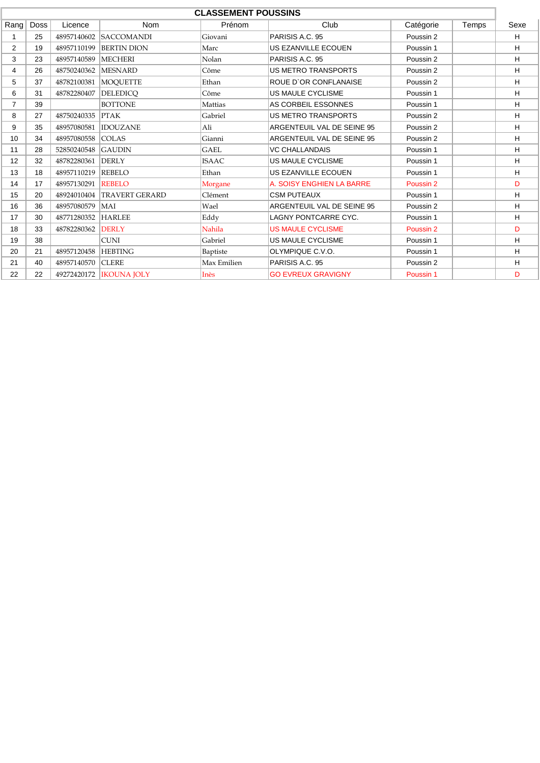| <b>CLASSEMENT POUSSINS</b> |      |                                                               |                           |                                          |                            |           |  |    |
|----------------------------|------|---------------------------------------------------------------|---------------------------|------------------------------------------|----------------------------|-----------|--|----|
| Rang                       | Doss | Club<br>Prénom<br>Licence<br><b>Nom</b><br>Catégorie<br>Temps |                           |                                          | Sexe                       |           |  |    |
|                            | 25   | 48957140602                                                   | <b>SACCOMANDI</b>         | Giovani                                  | PARISIS A.C. 95            | Poussin 2 |  | H  |
| 2                          | 19   | 48957110199                                                   | <b>BERTIN DION</b>        | Marc                                     | US EZANVILLE ECOUEN        | Poussin 1 |  | H  |
| 3                          | 23   | 48957140589                                                   | <b>MECHERI</b>            | Nolan                                    | PARISIS A.C. 95            | Poussin 2 |  | H  |
| 4                          | 26   | 48750240362 MESNARD                                           |                           | US METRO TRANSPORTS<br>Côme<br>Poussin 2 |                            |           |  |    |
| 5                          | 37   |                                                               | 48782100381 MOOUETTE      | Ethan                                    | ROUE D'OR CONFLANAISE      | Poussin 2 |  | H  |
| 6                          | 31   | 48782280407                                                   | <b>DELEDICO</b>           | Côme                                     | <b>US MAULE CYCLISME</b>   | Poussin 1 |  | H  |
| $\overline{7}$             | 39   |                                                               | <b>BOTTONE</b>            | Mattias                                  | AS CORBEIL ESSONNES        | Poussin 1 |  | H. |
| 8                          | 27   | 48750240335                                                   | PTAK                      | Gabriel                                  | <b>US METRO TRANSPORTS</b> | Poussin 2 |  | H  |
| 9                          | 35   | 48957080581                                                   | <b>IDOUZANE</b>           | Ali                                      | ARGENTEUIL VAL DE SEINE 95 | Poussin 2 |  | H  |
| 10                         | 34   | 48957080558                                                   | <b>COLAS</b>              | Gianni                                   | ARGENTEUIL VAL DE SEINE 95 | Poussin 2 |  | H  |
| 11                         | 28   | 52850240548                                                   | <b>GAUDIN</b>             | <b>GAEL</b>                              | <b>VC CHALLANDAIS</b>      | Poussin 1 |  | H  |
| 12                         | 32   | 48782280361                                                   | DERLY                     | <b>ISAAC</b>                             | <b>US MAULE CYCLISME</b>   | Poussin 1 |  | H  |
| 13                         | 18   | 48957110219                                                   | <b>REBELO</b>             | Ethan                                    | US EZANVILLE ECOUEN        | Poussin 1 |  | H  |
| 14                         | 17   | 48957130291                                                   | <b>REBELO</b>             | Morgane                                  | A. SOISY ENGHIEN LA BARRE  | Poussin 2 |  | D  |
| 15                         | 20   | 48924010404                                                   | <b>TRAVERT GERARD</b>     | Clément                                  | <b>CSM PUTEAUX</b>         | Poussin 1 |  | H  |
| 16                         | 36   | 48957080579                                                   | <b>MAI</b>                | Wael                                     | ARGENTEUIL VAL DE SEINE 95 | Poussin 2 |  | н  |
| 17                         | 30   | 48771280352 HARLEE                                            |                           | Eddy                                     | LAGNY PONTCARRE CYC.       | Poussin 1 |  | H  |
| 18                         | 33   | 48782280362                                                   | <b>DERLY</b>              | Nahila                                   | <b>US MAULE CYCLISME</b>   | Poussin 2 |  | D  |
| 19                         | 38   |                                                               | <b>CUNI</b>               | Gabriel                                  | <b>US MAULE CYCLISME</b>   | Poussin 1 |  | H  |
| 20                         | 21   | 48957120458                                                   | <b>HEBTING</b>            | Baptiste                                 | OLYMPIQUE C.V.O.           | Poussin 1 |  | H  |
| 21                         | 40   | 48957140570                                                   | <b>CLERE</b>              | Max Emilien                              | PARISIS A.C. 95            | Poussin 2 |  | H. |
| 22                         | 22   |                                                               | 49272420172   IKOUNA JOLY | Inès                                     | <b>GO EVREUX GRAVIGNY</b>  | Poussin 1 |  | D  |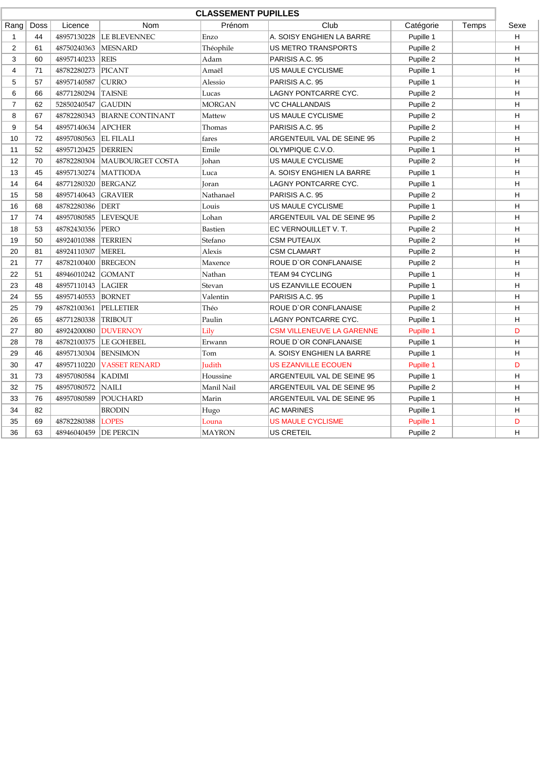| <b>CLASSEMENT PUPILLES</b> |                                                                       |                         |                         |               |                                  |           |      |   |  |
|----------------------------|-----------------------------------------------------------------------|-------------------------|-------------------------|---------------|----------------------------------|-----------|------|---|--|
| Rang                       | <b>Nom</b><br>Prénom<br>Club<br>Doss<br>Licence<br>Catégorie<br>Temps |                         |                         |               |                                  |           | Sexe |   |  |
| $\mathbf 1$                | 44                                                                    | 48957130228             | <b>LE BLEVENNEC</b>     | Enzo          | A. SOISY ENGHIEN LA BARRE        | Pupille 1 |      | H |  |
| 2                          | 61                                                                    | 48750240363             | <b>MESNARD</b>          | Théophile     | US METRO TRANSPORTS              | Pupille 2 |      | H |  |
| 3                          | 60                                                                    | 48957140233             | <b>REIS</b>             | Adam          | PARISIS A.C. 95                  | Pupille 2 |      | н |  |
| 4                          | 71                                                                    | 48782280273             | PICANT                  | Amaël         | US MAULE CYCLISME                | Pupille 1 |      | H |  |
| 5                          | 57                                                                    | 48957140587             | <b>CURRO</b>            | Alessio       | PARISIS A.C. 95                  | Pupille 1 |      | H |  |
| 6                          | 66                                                                    | 48771280294             | <b>TAISNE</b>           | Lucas         | LAGNY PONTCARRE CYC.             | Pupille 2 |      | н |  |
| $\overline{7}$             | 62                                                                    | 52850240547             | <b>GAUDIN</b>           | <b>MORGAN</b> | <b>VC CHALLANDAIS</b>            | Pupille 2 |      | н |  |
| 8                          | 67                                                                    | 48782280343             | <b>BIARNE CONTINANT</b> | Mattew        | US MAULE CYCLISME                | Pupille 2 |      | н |  |
| 9                          | 54                                                                    | 48957140634             | <b>APCHER</b>           | Thomas        | PARISIS A.C. 95                  | Pupille 2 |      | H |  |
| 10                         | 72                                                                    | 48957080563             | <b>EL FILALI</b>        | fares         | ARGENTEUIL VAL DE SEINE 95       | Pupille 2 |      | н |  |
| 11                         | 52                                                                    | 48957120425             | <b>DERRIEN</b>          | Emile         | OLYMPIQUE C.V.O.                 | Pupille 1 |      | н |  |
| 12                         | 70                                                                    | 48782280304             | <b>MAUBOURGET COSTA</b> | Johan         | US MAULE CYCLISME                | Pupille 2 |      | н |  |
| 13                         | 45                                                                    | 48957130274             | <b>MATTIODA</b>         | Luca          | A. SOISY ENGHIEN LA BARRE        | Pupille 1 |      | н |  |
| 14                         | 64                                                                    | 48771280320             | <b>BERGANZ</b>          | Joran         | LAGNY PONTCARRE CYC.             | Pupille 1 |      | н |  |
| 15                         | 58                                                                    | 48957140643             | <b>GRAVIER</b>          | Nathanael     | PARISIS A.C. 95                  | Pupille 2 |      | н |  |
| 16                         | 68                                                                    | 48782280386             | DERT                    | Louis         | US MAULE CYCLISME                | Pupille 1 |      | н |  |
| 17                         | 74                                                                    | 48957080585             | <b>LEVESOUE</b>         | Lohan         | ARGENTEUIL VAL DE SEINE 95       | Pupille 2 |      | H |  |
| 18                         | 53                                                                    | 48782430356             | PERO                    | Bastien       | EC VERNOUILLET V.T.              | Pupille 2 |      | н |  |
| 19                         | 50                                                                    | 48924010388             | <b>TERRIEN</b>          | Stefano       | <b>CSM PUTEAUX</b>               | Pupille 2 |      | H |  |
| 20                         | 81                                                                    | 48924110307             | <b>MEREL</b>            | Alexis        | <b>CSM CLAMART</b><br>Pupille 2  |           | н    |   |  |
| 21                         | 77                                                                    | 48782100400             | <b>BREGEON</b>          | Maxence       | ROUE D'OR CONFLANAISE            | Pupille 2 |      | H |  |
| 22                         | 51                                                                    | 48946010242             | <b>GOMANT</b>           | Nathan        | <b>TEAM 94 CYCLING</b>           | Pupille 1 |      | н |  |
| 23                         | 48                                                                    | 48957110143             | <b>LAGIER</b>           | Stevan        | US EZANVILLE ECOUEN              | Pupille 1 |      | н |  |
| 24                         | 55                                                                    | 48957140553             | <b>BORNET</b>           | Valentin      | PARISIS A.C. 95                  | Pupille 1 |      | H |  |
| 25                         | 79                                                                    | 48782100361             | <b>PELLETIER</b>        | Théo          | ROUE D'OR CONFLANAISE            | Pupille 2 |      | H |  |
| 26                         | 65                                                                    | 48771280338             | <b>TRIBOUT</b>          | Paulin        | LAGNY PONTCARRE CYC.             | Pupille 1 |      | н |  |
| 27                         | 80                                                                    | 48924200080             | <b>DUVERNOY</b>         | Lily          | <b>CSM VILLENEUVE LA GARENNE</b> | Pupille 1 |      | D |  |
| 28                         | 78                                                                    | 48782100375             | <b>LE GOHEBEL</b>       | Erwann        | ROUE D'OR CONFLANAISE            | Pupille 1 |      | H |  |
| 29                         | 46                                                                    | 48957130304             | <b>BENSIMON</b>         | Tom           | A. SOISY ENGHIEN LA BARRE        | Pupille 1 |      | H |  |
| 30                         | 47                                                                    | 48957110220             | <b>VASSET RENARD</b>    | Judith        | <b>US EZANVILLE ECOUEN</b>       | Pupille 1 |      | D |  |
| 31                         | 73                                                                    | 48957080584             | <b>KADIMI</b>           | Houssine      | ARGENTEUIL VAL DE SEINE 95       | Pupille 1 |      | н |  |
| 32                         | 75                                                                    | 48957080572             | <b>NAILI</b>            | Manil Nail    | ARGENTEUIL VAL DE SEINE 95       | Pupille 2 |      | H |  |
| 33                         | 76                                                                    | 48957080589             | POUCHARD                | Marin         | ARGENTEUIL VAL DE SEINE 95       | Pupille 1 |      | H |  |
| 34                         | 82                                                                    |                         | <b>BRODIN</b>           | Hugo          | <b>AC MARINES</b>                | Pupille 1 |      | н |  |
| 35                         | 69                                                                    | 48782280388             | <b>LOPES</b>            | Louna         | <b>US MAULE CYCLISME</b>         | Pupille 1 |      | D |  |
| 36                         | 63                                                                    | 48946040459   DE PERCIN |                         | <b>MAYRON</b> | <b>US CRETEIL</b>                | Pupille 2 |      | H |  |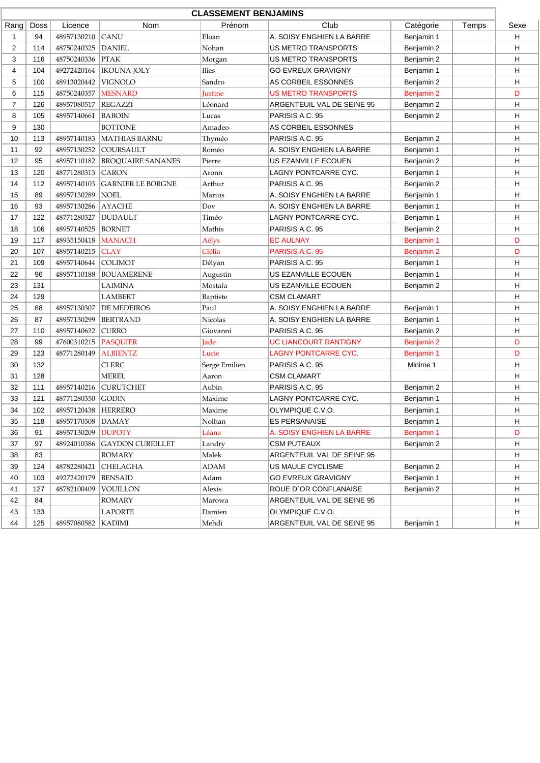|                | <b>CLASSEMENT BENJAMINS</b> |                    |                          |                |                              |            |      |   |
|----------------|-----------------------------|--------------------|--------------------------|----------------|------------------------------|------------|------|---|
| Rang           | Doss                        | Licence            | Nom                      | Prénom         | Club                         | Temps      | Sexe |   |
| 1              | 94                          | 48957130210        | <b>CANU</b>              | Eloan          | A. SOISY ENGHIEN LA BARRE    | Benjamin 1 |      | н |
| 2              | 114                         | 48750240325        | <b>DANIEL</b>            | Nohan          | US METRO TRANSPORTS          | Benjamin 2 |      | н |
| 3              | 116                         | 48750240336        | <b>PTAK</b>              | Morgan         | US METRO TRANSPORTS          | Benjamin 2 |      | н |
| 4              | 104                         | 49272420164        | <b>IKOUNA JOLY</b>       | Ilies          | <b>GO EVREUX GRAVIGNY</b>    | Benjamin 1 |      | н |
| 5              | 100                         | 48913020442        | <b>VIGNOLO</b>           | Sandro         | AS CORBEIL ESSONNES          | Benjamin 2 |      | н |
| 6              | 115                         | 48750240357        | <b>MESNARD</b>           | <b>Justine</b> | <b>US METRO TRANSPORTS</b>   | Benjamin 2 |      | D |
| $\overline{7}$ | 126                         | 48957080517        | <b>REGAZZI</b>           | Léonard        | ARGENTEUIL VAL DE SEINE 95   | Benjamin 2 |      | Н |
| 8              | 105                         | 48957140661        | BABOIN                   | Lucas          | PARISIS A.C. 95              | Benjamin 2 |      | Н |
| 9              | 130                         |                    | <b>BOTTONE</b>           | Amadeo         | AS CORBEIL ESSONNES          |            |      | н |
| 10             | 113                         | 48957140183        | <b>MATHIAS BARNU</b>     | Thyméo         | PARISIS A.C. 95              | Benjamin 2 |      | н |
| 11             | 92                          | 48957130252        | COURSAULT                | Roméo          | A. SOISY ENGHIEN LA BARRE    | Benjamin 1 |      | н |
| 12             | 95                          | 48957110182        | <b>BROQUAIRE SANANES</b> | Pierre         | US EZANVILLE ECOUEN          | Benjamin 2 |      | н |
| 13             | 120                         | 48771280313        | <b>CARON</b>             | Aronn          | LAGNY PONTCARRE CYC.         | Benjamin 1 |      | н |
| 14             | 112                         | 48957140103        | <b>GARNIER LE BORGNE</b> | Arthur         | PARISIS A.C. 95              | Benjamin 2 |      | н |
| 15             | 89                          | 48957130289        | <b>NOEL</b>              | Marius         | A. SOISY ENGHIEN LA BARRE    | Benjamin 1 |      | н |
| 16             | 93                          | 48957130286        | <b>AYACHE</b>            | Dov            | A. SOISY ENGHIEN LA BARRE    | Benjamin 1 |      | н |
| 17             | 122                         | 48771280327        | <b>DUDAULT</b>           | Timéo          | <b>LAGNY PONTCARRE CYC.</b>  | Benjamin 1 |      | н |
| 18             | 106                         | 48957140525        | <b>BORNET</b>            | Mathis         | PARISIS A.C. 95              | Benjamin 2 |      | н |
| 19             | 117                         | 48935150418        | <b>MANACH</b>            | Aélys          | <b>EC AULNAY</b>             | Benjamin 1 |      | D |
| 20             | 107                         | 48957140215        | <b>CLAY</b>              | Clélia         | PARISIS A.C. 95              | Benjamin 2 |      | D |
| 21             | 109                         | 48957140644        | <b>COLIMOT</b>           | Délyan         | PARISIS A.C. 95              | Benjamin 1 |      | Н |
| 22             | 96                          | 48957110188        | <b>BOUAMERENE</b>        | Augustin       | US EZANVILLE ECOUEN          | Benjamin 1 |      | н |
| 23             | 131                         |                    | LAIMINA                  | Mostafa        | US EZANVILLE ECOUEN          | Benjamin 2 |      | н |
| 24             | 129                         |                    | LAMBERT                  | Baptiste       | <b>CSM CLAMART</b>           |            |      | н |
| 25             | 88                          | 48957130307        | <b>DE MEDEIROS</b>       | Paul           | A. SOISY ENGHIEN LA BARRE    | Benjamin 1 |      | н |
| 26             | 87                          | 48957130299        | <b>BERTRAND</b>          | <b>Nicolas</b> | A. SOISY ENGHIEN LA BARRE    | Benjamin 1 |      | н |
| 27             | 110                         | 48957140632        | <b>CURRO</b>             | Giovanni       | PARISIS A.C. 95              | Benjamin 2 |      | н |
| 28             | 99                          | 47600310215        | PASQUIER                 | <b>Jade</b>    | <b>UC LIANCOURT RANTIGNY</b> | Benjamin 2 |      | D |
| 29             | 123                         | 48771280149        | <b>ALBIENTZ</b>          | Lucie          | <b>LAGNY PONTCARRE CYC.</b>  | Benjamin 1 |      | D |
| 30             | 132                         |                    | <b>CLERC</b>             | Serge Emilien  | PARISIS A.C. 95              | Minime 1   |      | н |
| 31             | 128                         |                    | <b>MEREL</b>             | Aaron          | <b>CSM CLAMART</b>           |            |      | н |
| 32             | 111                         | 48957140216        | <b>CURUTCHET</b>         | Aubin          | PARISIS A.C. 95              | Benjamin 2 |      | н |
| 33             | 121                         | 48771280350        | GODIN                    | Maxime         | <b>LAGNY PONTCARRE CYC.</b>  | Benjamin 1 |      | Н |
| 34             | 102                         | 48957120438        | <b>HERRERO</b>           | Maxime         | OLYMPIQUE C.V.O.             | Benjamin 1 |      | н |
| 35             | 118                         | 48957170308        | $\mathsf{DAMAY}$         | Nolhan         | <b>ES PERSANAISE</b>         | Benjamin 1 |      | H |
| 36             | 91                          | 48957130209        | <b>DUPOTY</b>            | Léana          | A. SOISY ENGHIEN LA BARRE    | Benjamin 1 |      | D |
| 37             | 97                          | 48924010386        | <b>GAYDON CUREILLET</b>  | Landry         | <b>CSM PUTEAUX</b>           | Benjamin 2 |      | н |
| 38             | 83                          |                    | <b>ROMARY</b>            | Malek          | ARGENTEUIL VAL DE SEINE 95   |            |      | н |
| 39             | 124                         | 48782280421        | <b>CHELAGHA</b>          | <b>ADAM</b>    | US MAULE CYCLISME            | Benjamin 2 |      | н |
| 40             | 103                         | 49272420179        | <b>BENSAID</b>           | Adam           | <b>GO EVREUX GRAVIGNY</b>    | Benjamin 1 |      | н |
| 41             | 127                         | 48782100409        | <b>VOUILLON</b>          | Alexis         | ROUE D'OR CONFLANAISE        | Benjamin 2 |      | н |
| 42             | 84                          |                    | ROMARY                   | Marowa         | ARGENTEUIL VAL DE SEINE 95   |            |      | H |
| 43             | 133                         |                    | <b>LAPORTE</b>           | Damien         | OLYMPIQUE C.V.O.             |            |      | н |
| 44             | 125                         | 48957080582 KADIMI |                          | Mehdi          | ARGENTEUIL VAL DE SEINE 95   | Benjamin 1 |      | H |